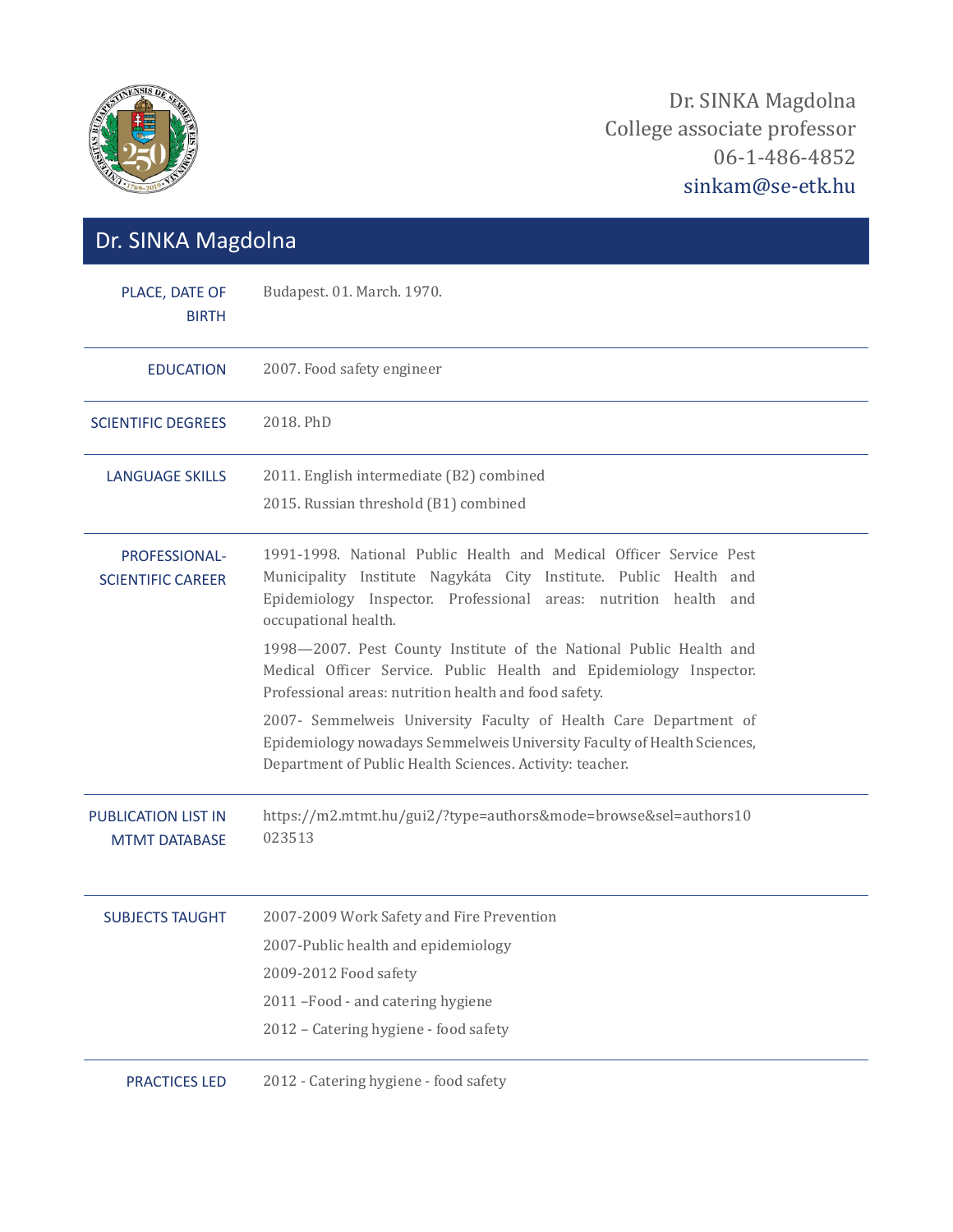

| Dr. SINKA Magdolna                                 |                                                                                                                                                                                                                                     |
|----------------------------------------------------|-------------------------------------------------------------------------------------------------------------------------------------------------------------------------------------------------------------------------------------|
| PLACE, DATE OF<br><b>BIRTH</b>                     | Budapest. 01. March. 1970.                                                                                                                                                                                                          |
| <b>EDUCATION</b>                                   | 2007. Food safety engineer                                                                                                                                                                                                          |
| <b>SCIENTIFIC DEGREES</b>                          | 2018. PhD                                                                                                                                                                                                                           |
| <b>LANGUAGE SKILLS</b>                             | 2011. English intermediate (B2) combined<br>2015. Russian threshold (B1) combined                                                                                                                                                   |
| PROFESSIONAL-<br><b>SCIENTIFIC CAREER</b>          | 1991-1998. National Public Health and Medical Officer Service Pest<br>Municipality Institute Nagykáta City Institute. Public Health and<br>Epidemiology Inspector. Professional areas: nutrition health and<br>occupational health. |
|                                                    | 1998-2007. Pest County Institute of the National Public Health and<br>Medical Officer Service. Public Health and Epidemiology Inspector.<br>Professional areas: nutrition health and food safety.                                   |
|                                                    | 2007- Semmelweis University Faculty of Health Care Department of<br>Epidemiology nowadays Semmelweis University Faculty of Health Sciences,<br>Department of Public Health Sciences. Activity: teacher.                             |
| <b>PUBLICATION LIST IN</b><br><b>MTMT DATABASE</b> | https://m2.mtmt.hu/gui2/?type=authors&mode=browse&sel=authors10<br>023513                                                                                                                                                           |
| <b>SUBJECTS TAUGHT</b>                             | 2007-2009 Work Safety and Fire Prevention                                                                                                                                                                                           |
|                                                    | 2007-Public health and epidemiology                                                                                                                                                                                                 |
|                                                    | 2009-2012 Food safety                                                                                                                                                                                                               |
|                                                    | 2011 - Food - and catering hygiene                                                                                                                                                                                                  |
|                                                    | 2012 - Catering hygiene - food safety                                                                                                                                                                                               |
| <b>PRACTICES LED</b>                               | 2012 - Catering hygiene - food safety                                                                                                                                                                                               |